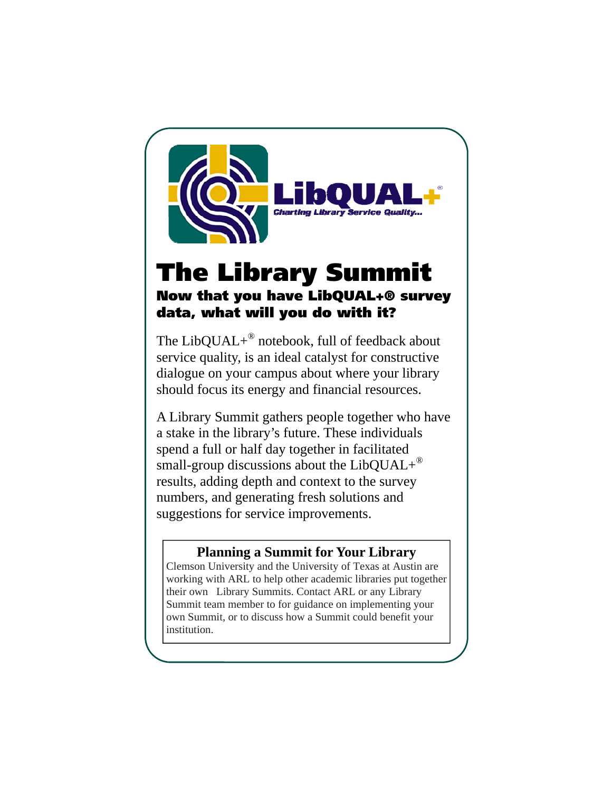

## The Library Summit Now that you have LibQUAL+® survey data, what will you do with it?

The LibQUAL+® notebook, full of feedback about service quality, is an ideal catalyst for constructive dialogue on your campus about where your library should focus its energy and financial resources.

A Library Summit gathers people together who have a stake in the library's future. These individuals spend a full or half day together in facilitated small-group discussions about the LibQUAL+ $^{\circ}$ results, adding depth and context to the survey numbers, and generating fresh solutions and suggestions for service improvements.

### **Planning a Summit for Your Library**

Clemson University and the University of Texas at Austin are working with ARL to help other academic libraries put together their own Library Summits. Contact ARL or any Library Summit team member to for guidance on implementing your own Summit, or to discuss how a Summit could benefit your institution.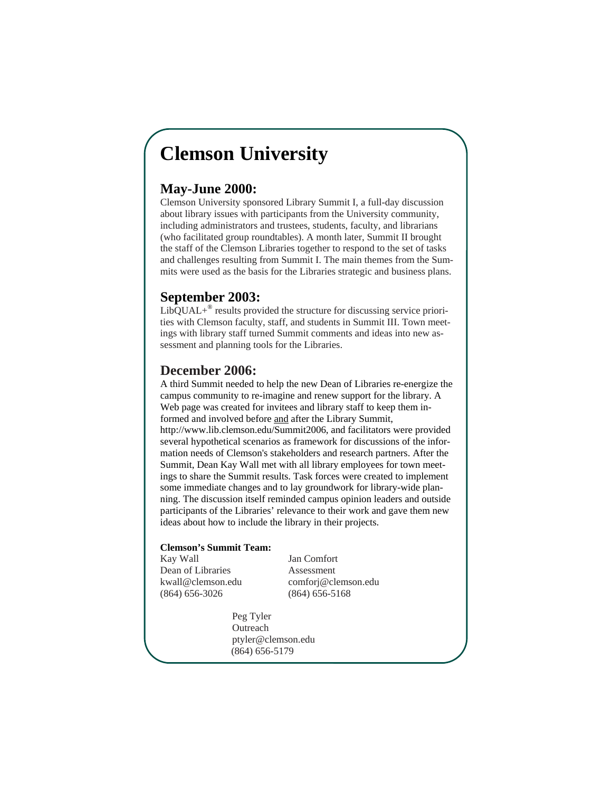## **Clemson University**

#### **May-June 2000:**

Clemson University sponsored Library Summit I, a full-day discussion about library issues with participants from the University community, including administrators and trustees, students, faculty, and librarians (who facilitated group roundtables). A month later, Summit II brought the staff of the Clemson Libraries together to respond to the set of tasks and challenges resulting from Summit I. The main themes from the Summits were used as the basis for the Libraries strategic and business plans.

#### **September 2003:**

 $LibOUAL+^{\circledR}$  results provided the structure for discussing service priorities with Clemson faculty, staff, and students in Summit III. Town meetings with library staff turned Summit comments and ideas into new assessment and planning tools for the Libraries.

### **December 2006:**

A third Summit needed to help the new Dean of Libraries re-energize the campus community to re-imagine and renew support for the library. A Web page was created for invitees and library staff to keep them informed and involved before and after the Library Summit, http://www.lib.clemson.edu/Summit2006, and facilitators were provided several hypothetical scenarios as framework for discussions of the information needs of Clemson's stakeholders and research partners. After the Summit, Dean Kay Wall met with all library employees for town meetings to share the Summit results. Task forces were created to implement some immediate changes and to lay groundwork for library-wide planning. The discussion itself reminded campus opinion leaders and outside participants of the Libraries' relevance to their work and gave them new ideas about how to include the library in their projects.

#### **Clemson's Summit Team:**

Kay Wall Jan Comfort Dean of Libraries Assessment (864) 656-3026 (864) 656-5168

kwall@clemson.edu comforj@clemson.edu

 Peg Tyler Outreach ptyler@clemson.edu (864) 656-5179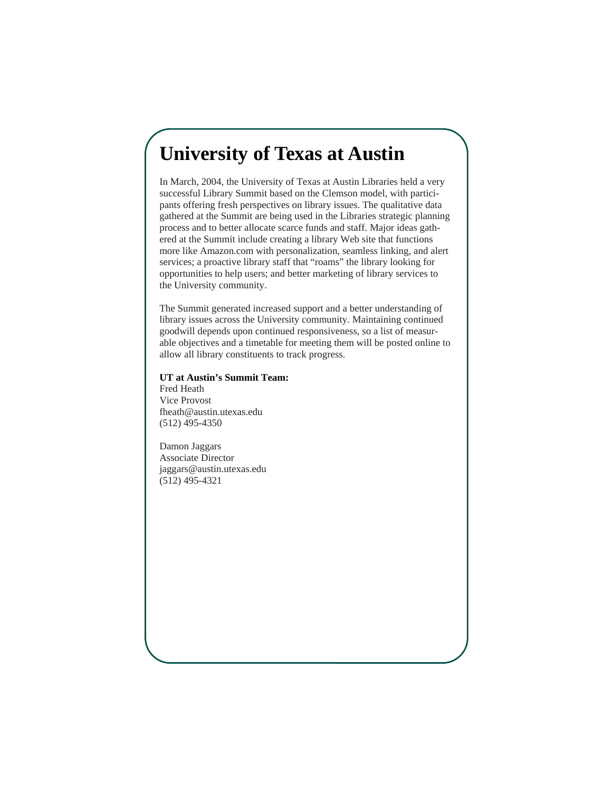### **University of Texas at Austin**

In March, 2004, the University of Texas at Austin Libraries held a very successful Library Summit based on the Clemson model, with participants offering fresh perspectives on library issues. The qualitative data gathered at the Summit are being used in the Libraries strategic planning process and to better allocate scarce funds and staff. Major ideas gathered at the Summit include creating a library Web site that functions more like Amazon.com with personalization, seamless linking, and alert services; a proactive library staff that "roams" the library looking for opportunities to help users; and better marketing of library services to the University community.

The Summit generated increased support and a better understanding of library issues across the University community. Maintaining continued goodwill depends upon continued responsiveness, so a list of measurable objectives and a timetable for meeting them will be posted online to allow all library constituents to track progress.

#### **UT at Austin's Summit Team:**

Fred Heath Vice Provost fheath@austin.utexas.edu (512) 495-4350

Damon Jaggars Associate Director jaggars@austin.utexas.edu (512) 495-4321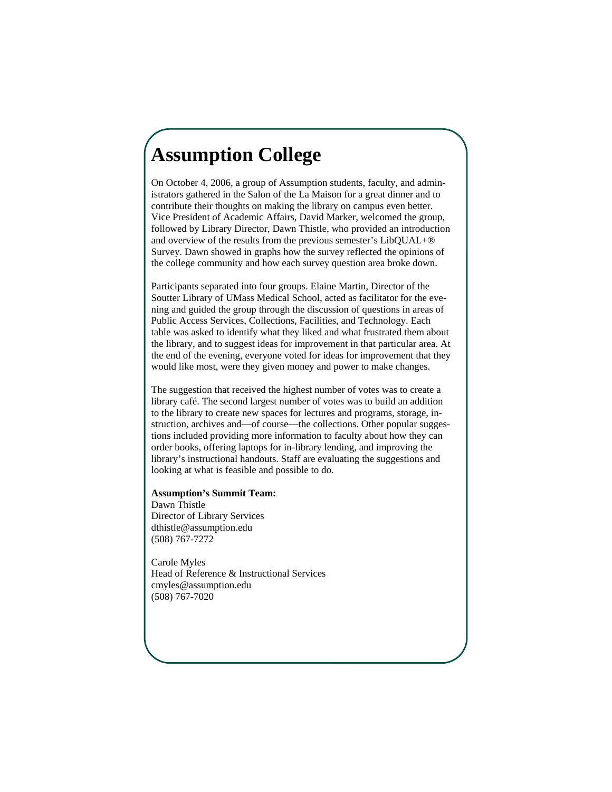# **Assumption College**

On October 4, 2006, a group of Assumption students, faculty, and administrators gathered in the Salon of the La Maison for a great dinner and to contribute their thoughts on making the library on campus even better. Vice President of Academic Affairs, David Marker, welcomed the group, followed by Library Director, Dawn Thistle, who provided an introduction and overview of the results from the previous semester's LibQUAL+® Survey. Dawn showed in graphs how the survey reflected the opinions of the college community and how each survey question area broke down.

Participants separated into four groups. Elaine Martin, Director of the Soutter Library of UMass Medical School, acted as facilitator for the evening and guided the group through the discussion of questions in areas of Public Access Services, Collections, Facilities, and Technology. Each table was asked to identify what they liked and what frustrated them about the library, and to suggest ideas for improvement in that particular area. At the end of the evening, everyone voted for ideas for improvement that they would like most, were they given money and power to make changes.

The suggestion that received the highest number of votes was to create a library café. The second largest number of votes was to build an addition to the library to create new spaces for lectures and programs, storage, instruction, archives and—of course—the collections. Other popular suggestions included providing more information to faculty about how they can order books, offering laptops for in-library lending, and improving the library's instructional handouts. Staff are evaluating the suggestions and looking at what is feasible and possible to do.

#### **Assumption's Summit Team:**

Dawn Thistle Director of Library Services dthistle@assumption.edu (508) 767-7272

Carole Myles Head of Reference & Instructional Services cmyles@assumption.edu (508) 767-7020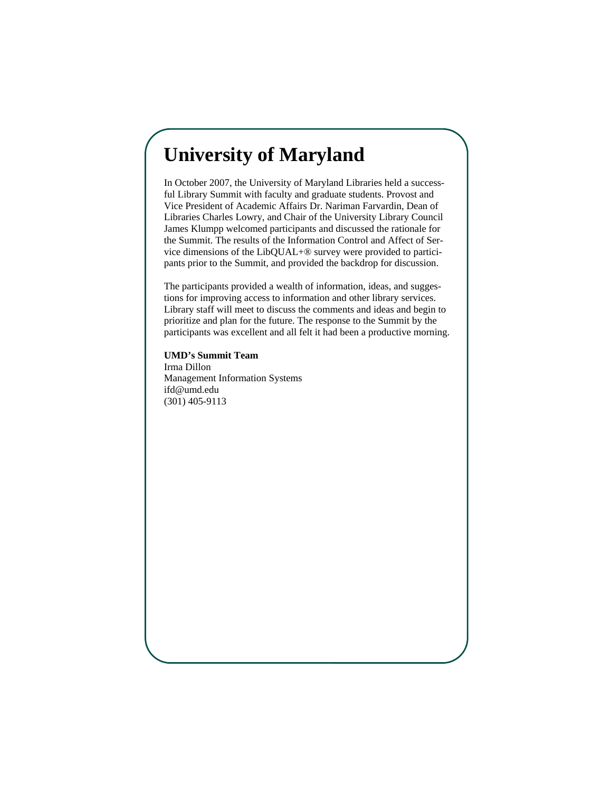## **University of Maryland**

In October 2007, the University of Maryland Libraries held a successful Library Summit with faculty and graduate students. Provost and Vice President of Academic Affairs Dr. Nariman Farvardin, Dean of Libraries Charles Lowry, and Chair of the University Library Council James Klumpp welcomed participants and discussed the rationale for the Summit. The results of the Information Control and Affect of Service dimensions of the LibQUAL+® survey were provided to participants prior to the Summit, and provided the backdrop for discussion.

The participants provided a wealth of information, ideas, and suggestions for improving access to information and other library services. Library staff will meet to discuss the comments and ideas and begin to prioritize and plan for the future. The response to the Summit by the participants was excellent and all felt it had been a productive morning.

**UMD's Summit Team**  Irma Dillon Management Information Systems ifd@umd.edu (301) 405-9113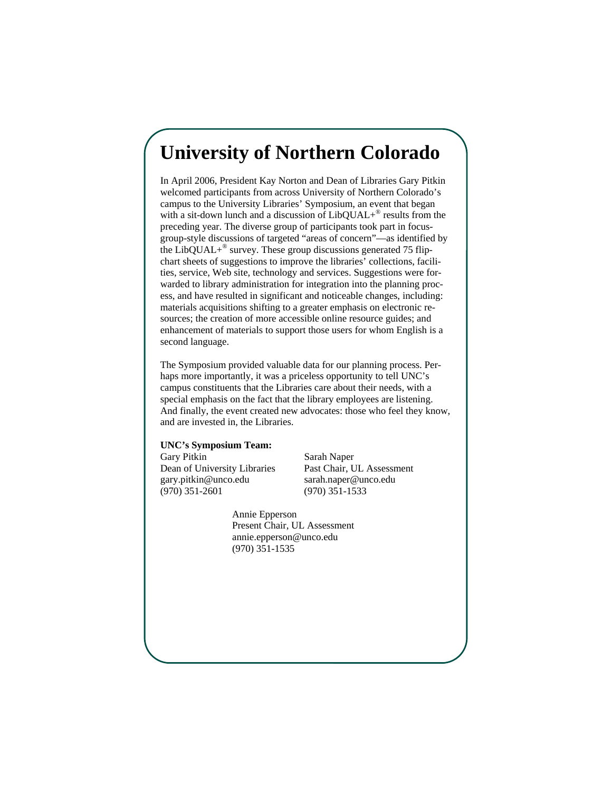## **University of Northern Colorado**

In April 2006, President Kay Norton and Dean of Libraries Gary Pitkin welcomed participants from across University of Northern Colorado's campus to the University Libraries' Symposium, an event that began with a sit-down lunch and a discussion of LibQUAL+<sup>®</sup> results from the preceding year. The diverse group of participants took part in focusgroup-style discussions of targeted "areas of concern"—as identified by the LibQUAL $+^{\circ}$  survey. These group discussions generated 75 flipchart sheets of suggestions to improve the libraries' collections, facilities, service, Web site, technology and services. Suggestions were forwarded to library administration for integration into the planning process, and have resulted in significant and noticeable changes, including: materials acquisitions shifting to a greater emphasis on electronic resources; the creation of more accessible online resource guides; and enhancement of materials to support those users for whom English is a second language.

The Symposium provided valuable data for our planning process. Perhaps more importantly, it was a priceless opportunity to tell UNC's campus constituents that the Libraries care about their needs, with a special emphasis on the fact that the library employees are listening. And finally, the event created new advocates: those who feel they know, and are invested in, the Libraries.

#### **UNC's Symposium Team:**

Gary Pitkin Sarah Naper gary.pitkin@unco.edu sarah.naper@unco.edu (970) 351-2601 (970) 351-1533

Dean of University Libraries Past Chair, UL Assessment

 Annie Epperson Present Chair, UL Assessment annie.epperson@unco.edu (970) 351-1535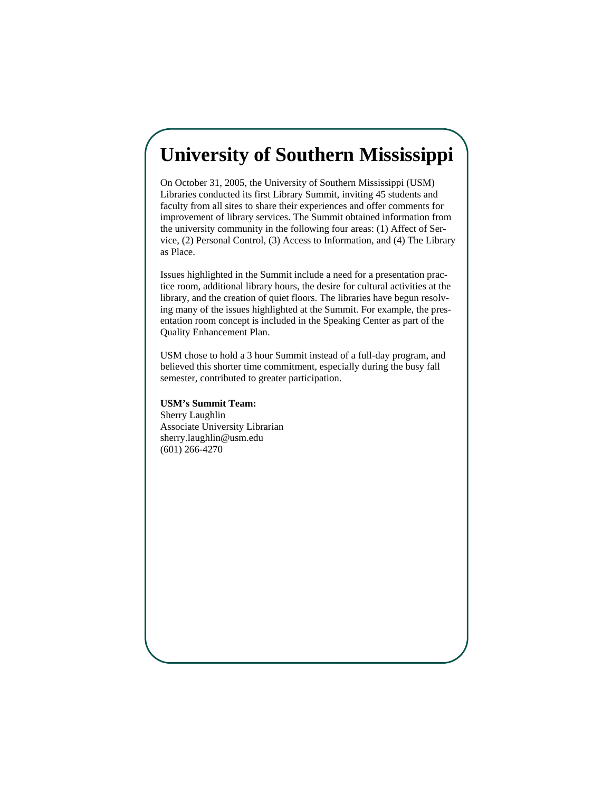## **University of Southern Mississippi**

On October 31, 2005, the University of Southern Mississippi (USM) Libraries conducted its first Library Summit, inviting 45 students and faculty from all sites to share their experiences and offer comments for improvement of library services. The Summit obtained information from the university community in the following four areas: (1) Affect of Service, (2) Personal Control, (3) Access to Information, and (4) The Library as Place.

Issues highlighted in the Summit include a need for a presentation practice room, additional library hours, the desire for cultural activities at the library, and the creation of quiet floors. The libraries have begun resolving many of the issues highlighted at the Summit. For example, the presentation room concept is included in the Speaking Center as part of the Quality Enhancement Plan.

USM chose to hold a 3 hour Summit instead of a full-day program, and believed this shorter time commitment, especially during the busy fall semester, contributed to greater participation.

#### **USM's Summit Team:**

Sherry Laughlin Associate University Librarian sherry.laughlin@usm.edu (601) 266-4270